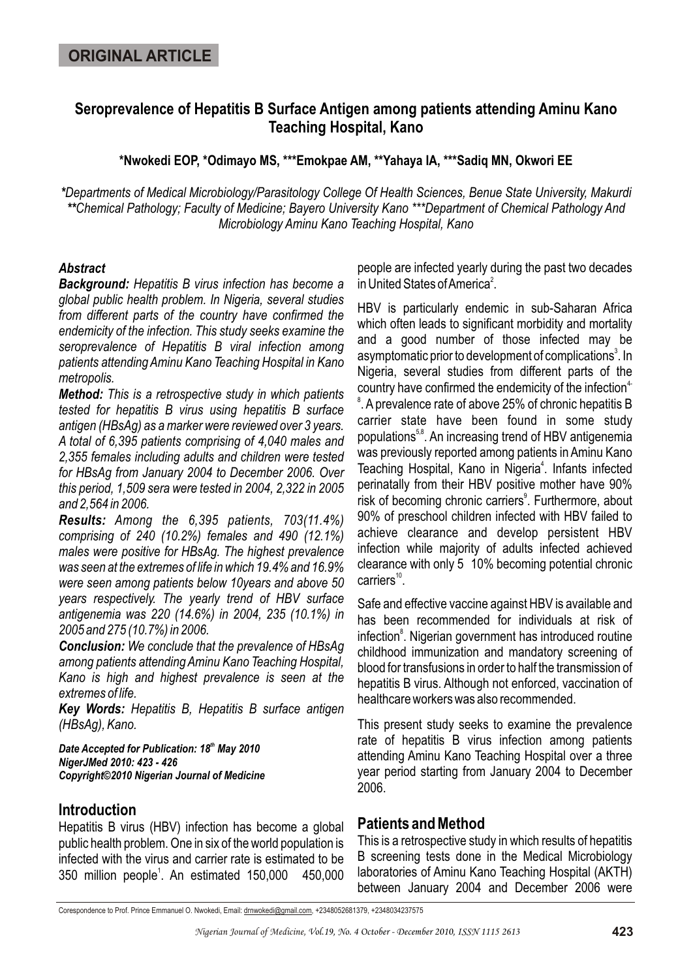# **Seroprevalence of Hepatitis B Surface Antigen among patients attending Aminu Kano Teaching Hospital, Kano**

**\*Nwokedi EOP, \*Odimayo MS, \*\*\*Emokpae AM, \*\*Yahaya IA, \*\*\*Sadiq MN, Okwori EE**

*\*Departments of Medical Microbiology/Parasitology College Of Health Sciences, Benue State University, Makurdi \*\*Chemical Pathology; Faculty of Medicine; Bayero University Kano \*\*\*Department of Chemical Pathology And Microbiology Aminu Kano Teaching Hospital, Kano*

#### *Abstract*

*Background: Hepatitis B virus infection has become a global public health problem. In Nigeria, several studies from different parts of the country have confirmed the endemicity of the infection. This study seeks examine the seroprevalence of Hepatitis B viral infection among patients attending Aminu Kano Teaching Hospital in Kano metropolis.* 

*Method: This is a retrospective study in which patients tested for hepatitis B virus using hepatitis B surface antigen (HBsAg) as a marker were reviewed over 3 years. A total of 6,395 patients comprising of 4,040 males and 2,355 females including adults and children were tested for HBsAg from January 2004 to December 2006. Over this period, 1,509 sera were tested in 2004, 2,322 in 2005 and 2,564 in 2006.*

*Results: Among the 6,395 patients, 703(11.4%) comprising of 240 (10.2%) females and 490 (12.1%) males were positive for HBsAg. The highest prevalence was seen at the extremes of life in which 19.4% and 16.9% were seen among patients below 10years and above 50 years respectively. The yearly trend of HBV surface antigenemia was 220 (14.6%) in 2004, 235 (10.1%) in 2005 and 275 (10.7%) in 2006.* 

*Conclusion: We conclude that the prevalence of HBsAg among patients attending Aminu Kano Teaching Hospital, Kano is high and highest prevalence is seen at the extremes of life.* 

*Key Words: Hepatitis B, Hepatitis B surface antigen (HBsAg), Kano.*

**Date Accepted for Publication: 18<sup>th</sup> May 2010** *NigerJMed 2010: 423 - 426 Copyright©2010 Nigerian Journal of Medicine*

## **Introduction**

Hepatitis B virus (HBV) infection has become a global public health problem. One in six of the world population is infected with the virus and carrier rate is estimated to be 350 million people<sup>1</sup>. An estimated 150,000 450,000 people are infected yearly during the past two decades in United States of America<sup>2</sup>.

HBV is particularly endemic in sub-Saharan Africa which often leads to significant morbidity and mortality and a good number of those infected may be asymptomatic prior to development of complications<sup>3</sup>. In Nigeria, several studies from different parts of the country have confirmed the endemicity of the infection<sup>4-</sup> 8 . A prevalence rate of above 25% of chronic hepatitis B carrier state have been found in some study populations<sup>5,8</sup>. An increasing trend of HBV antigenemia was previously reported among patients in Aminu Kano Teaching Hospital, Kano in Nigeria<sup>4</sup>. Infants infected perinatally from their HBV positive mother have 90% risk of becoming chronic carriers<sup>9</sup>. Furthermore, about 90% of preschool children infected with HBV failed to achieve clearance and develop persistent HBV infection while majority of adults infected achieved clearance with only 5 10% becoming potential chronic  $carriers$ <sup>10</sup>.

Safe and effective vaccine against HBV is available and has been recommended for individuals at risk of infection<sup>8</sup>. Nigerian government has introduced routine childhood immunization and mandatory screening of blood for transfusions in order to half the transmission of hepatitis B virus. Although not enforced, vaccination of healthcare workers was also recommended.

This present study seeks to examine the prevalence rate of hepatitis B virus infection among patients attending Aminu Kano Teaching Hospital over a three year period starting from January 2004 to December 2006.

## **Patients and Method**

This is a retrospective study in which results of hepatitis B screening tests done in the Medical Microbiology laboratories of Aminu Kano Teaching Hospital (AKTH) between January 2004 and December 2006 were

Corespondence to Prof. Prince Emmanuel O. Nwokedi, Email: drnwokedi@gmail.com, +2348052681379, +2348034237575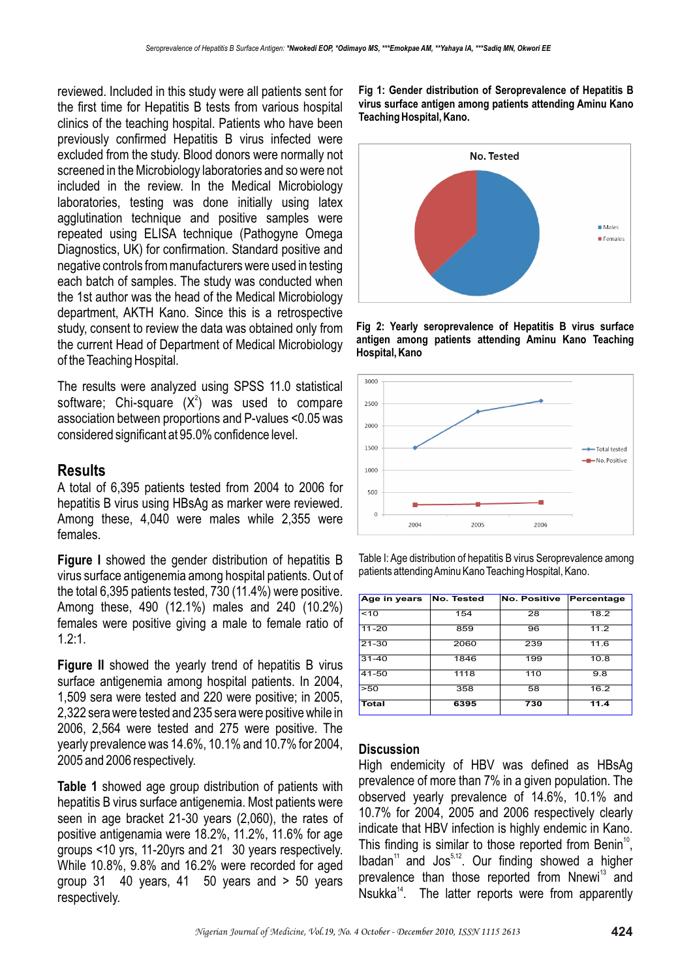reviewed. Included in this study were all patients sent for the first time for Hepatitis B tests from various hospital clinics of the teaching hospital. Patients who have been previously confirmed Hepatitis B virus infected were excluded from the study. Blood donors were normally not screened in the Microbiology laboratories and so were not included in the review. In the Medical Microbiology laboratories, testing was done initially using latex agglutination technique and positive samples were repeated using ELISA technique (Pathogyne Omega Diagnostics, UK) for confirmation. Standard positive and negative controls from manufacturers were used in testing each batch of samples. The study was conducted when the 1st author was the head of the Medical Microbiology department, AKTH Kano. Since this is a retrospective study, consent to review the data was obtained only from the current Head of Department of Medical Microbiology of the Teaching Hospital.

The results were analyzed using SPSS 11.0 statistical software; Chi-square  $(X^2)$  was used to compare association between proportions and P-values <0.05 was considered significant at 95.0% confidence level.

#### **Results**

A total of 6,395 patients tested from 2004 to 2006 for hepatitis B virus using HBsAg as marker were reviewed. Among these, 4,040 were males while 2,355 were females.

**Figure I** showed the gender distribution of hepatitis B virus surface antigenemia among hospital patients. Out of the total 6,395 patients tested, 730 (11.4%) were positive. Among these, 490 (12.1%) males and 240 (10.2%) females were positive giving a male to female ratio of 1.2:1.

**Figure II** showed the yearly trend of hepatitis B virus surface antigenemia among hospital patients. In 2004, 1,509 sera were tested and 220 were positive; in 2005, 2,322 sera were tested and 235 sera were positive while in 2006, 2,564 were tested and 275 were positive. The yearly prevalence was 14.6%, 10.1% and 10.7% for 2004, 2005 and 2006 respectively.

**Table 1** showed age group distribution of patients with hepatitis B virus surface antigenemia. Most patients were seen in age bracket 21-30 years (2,060), the rates of positive antigenamia were 18.2%, 11.2%, 11.6% for age groups <10 yrs, 11-20yrs and 21 30 years respectively. While 10.8%, 9.8% and 16.2% were recorded for aged group 31 40 years, 41 50 years and > 50 years respectively.

**Fig 1: Gender distribution of Seroprevalence of Hepatitis B virus surface antigen among patients attending Aminu Kano Teaching Hospital, Kano.**



**Fig 2: Yearly seroprevalence of Hepatitis B virus surface antigen among patients attending Aminu Kano Teaching Hospital, Kano**



Table I: Age distribution of hepatitis B virus Seroprevalence among patients attending Aminu Kano Teaching Hospital, Kano.

| Age in years | No. Tested | <b>No. Positive</b> | Percentage |
|--------------|------------|---------------------|------------|
| ~10          | 154        | 28                  | 18.2       |
| $11 - 20$    | 859        | 96                  | 11.2       |
| $21 - 30$    | 2060       | 239                 | 11.6       |
| $31 - 40$    | 1846       | 199                 | 10.8       |
| 41-50        | 1118       | 110                 | 9.8        |
| >50          | 358        | 58                  | 16.2       |
| Total        | 6395       | 730                 | 11.4       |

#### **Discussion**

High endemicity of HBV was defined as HBsAg prevalence of more than 7% in a given population. The observed yearly prevalence of 14.6%, 10.1% and 10.7% for 2004, 2005 and 2006 respectively clearly indicate that HBV infection is highly endemic in Kano. This finding is similar to those reported from Benin<sup>10</sup>. Ibadan<sup>11</sup> and Jos<sup>5,12</sup>. Our finding showed a higher prevalence than those reported from Nnewi<sup>13</sup> and Nsukka<sup> $14$ </sup>. The latter reports were from apparently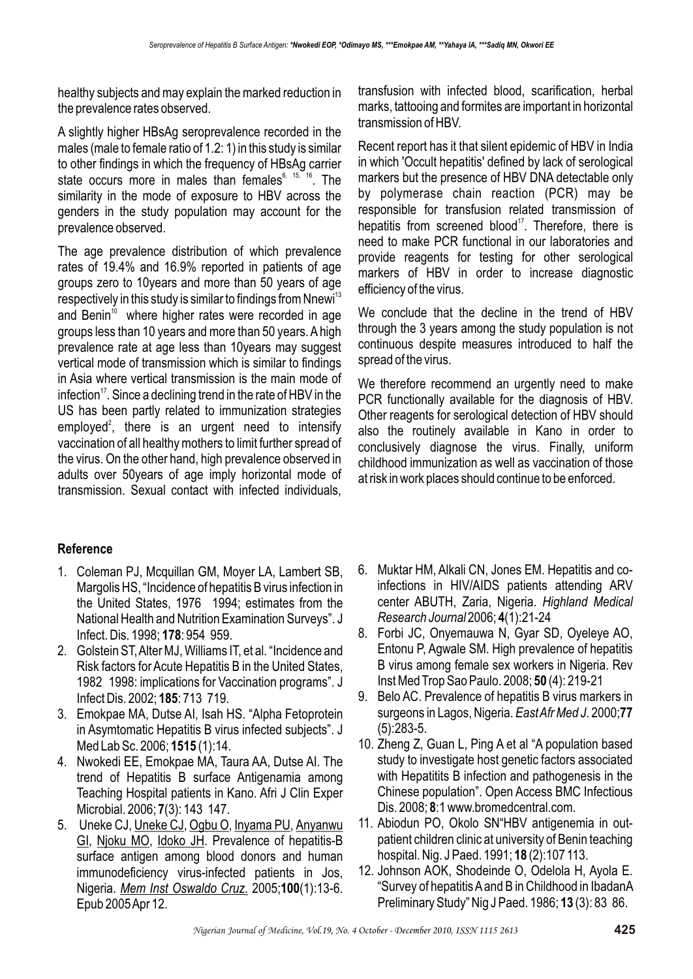healthy subjects and may explain the marked reduction in the prevalence rates observed.

A slightly higher HBsAg seroprevalence recorded in the males (male to female ratio of 1.2: 1) in this study is similar to other findings in which the frequency of HBsAg carrier state occurs more in males than females  $6, 15, 16$ . The similarity in the mode of exposure to HBV across the genders in the study population may account for the prevalence observed.

The age prevalence distribution of which prevalence rates of 19.4% and 16.9% reported in patients of age groups zero to 10years and more than 50 years of age respectively in this study is similar to findings from Nnewi<sup>13</sup> and Benin<sup>10</sup> where higher rates were recorded in age groups less than 10 years and more than 50 years. A high prevalence rate at age less than 10years may suggest vertical mode of transmission which is similar to findings in Asia where vertical transmission is the main mode of infection<sup>17</sup>. Since a declining trend in the rate of HBV in the US has been partly related to immunization strategies employed<sup>2</sup>, there is an urgent need to intensify vaccination of all healthy mothers to limit further spread of the virus. On the other hand, high prevalence observed in adults over 50years of age imply horizontal mode of transmission. Sexual contact with infected individuals,

## **Reference**

- 1. Coleman PJ, Mcquillan GM, Moyer LA, Lambert SB, Margolis HS, "Incidence of hepatitis B virus infection in the United States, 1976 1994; estimates from the National Health and Nutrition Examination Surveys". J Infect. Dis. 1998; **178**: 954 959.
- 2. Golstein ST, Alter MJ, Williams IT, et al. "Incidence and Risk factors for Acute Hepatitis B in the United States, 1982 1998: implications for Vaccination programs". J Infect Dis. 2002; **185**: 713 719.
- 3. Emokpae MA, Dutse AI, Isah HS. "Alpha Fetoprotein in Asymtomatic Hepatitis B virus infected subjects". J Med Lab Sc. 2006; **1515** (1):14.
- 4. Nwokedi EE, Emokpae MA, Taura AA, Dutse AI. The trend of Hepatitis B surface Antigenamia among Teaching Hospital patients in Kano. Afri J Clin Exper Microbial. 2006; **7**(3): 143 147.
- 5. Uneke CJ, Uneke CJ, Ogbu O, Inyama PU, Anyanwu GI, Njoku MO, Idoko JH. Prevalence of hepatitis-B surface antigen among blood donors and human immunodeficiency virus-infected patients in Jos, Nigeria. *Mem Inst Oswaldo Cruz*. 2005;**100**(1):13-6. Epub 2005 Apr 12.

transfusion with infected blood, scarification, herbal marks, tattooing and formites are important in horizontal transmission of HBV.

Recent report has it that silent epidemic of HBV in India in which 'Occult hepatitis' defined by lack of serological markers but the presence of HBV DNA detectable only by polymerase chain reaction (PCR) may be responsible for transfusion related transmission of hepatitis from screened blood $17$ . Therefore, there is need to make PCR functional in our laboratories and provide reagents for testing for other serological markers of HBV in order to increase diagnostic efficiency of the virus.

We conclude that the decline in the trend of HBV through the 3 years among the study population is not continuous despite measures introduced to half the spread of the virus.

We therefore recommend an urgently need to make PCR functionally available for the diagnosis of HBV. Other reagents for serological detection of HBV should also the routinely available in Kano in order to conclusively diagnose the virus. Finally, uniform childhood immunization as well as vaccination of those at risk in work places should continue to be enforced.

- 6. Muktar HM, Alkali CN, Jones EM. Hepatitis and coinfections in HIV/AIDS patients attending ARV center ABUTH, Zaria, Nigeria. *Highland Medical Research Journal* 2006; **4**(1):21-24
- 8. Forbi JC, Onyemauwa N, Gyar SD, Oyeleye AO, Entonu P, Agwale SM. High prevalence of hepatitis B virus among female sex workers in Nigeria. Rev Inst Med Trop Sao Paulo. 2008; **50** (4): 219-21
- 9. Belo AC. Prevalence of hepatitis B virus markers in surgeons in Lagos, Nigeria. *East Afr Med J*. 2000;**77**  (5):283-5.
- 10. Zheng Z, Guan L, Ping A et al "A population based study to investigate host genetic factors associated with Hepatitits B infection and pathogenesis in the Chinese population". Open Access BMC Infectious Dis. 2008; **8**:1 www.bromedcentral.com.
- 11. Abiodun PO, Okolo SN"HBV antigenemia in outpatient children clinic at university of Benin teaching hospital. Nig. J Paed. 1991; **18** (2):107 113.
- 12. Johnson AOK, Shodeinde O, Odelola H, Ayola E. "Survey of hepatitis A and B in Childhood in IbadanA Preliminary Study" Nig J Paed. 1986; **13** (3): 83 86.